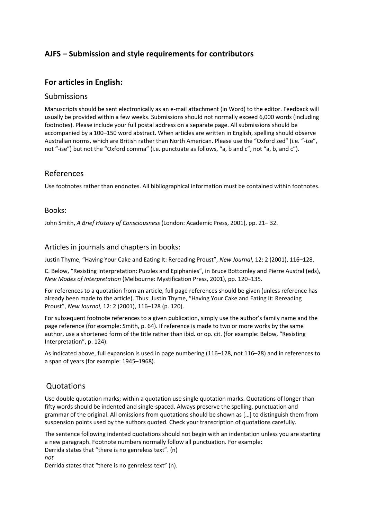# **AJFS – Submission and style requirements for contributors**

## **For articles in English:**

#### Submissions

Manuscripts should be sent electronically as an e-mail attachment (in Word) to the editor. Feedback will usually be provided within a few weeks. Submissions should not normally exceed 6,000 words (including footnotes). Please include your full postal address on a separate page. All submissions should be accompanied by a 100–150 word abstract. When articles are written in English, spelling should observe Australian norms, which are British rather than North American. Please use the "Oxford zed" (i.e. "-ize", not "-ise") but not the "Oxford comma" (i.e. punctuate as follows, "a, b and c", not "a, b, and c").

### References

Use footnotes rather than endnotes. All bibliographical information must be contained within footnotes.

#### Books:

John Smith, *A Brief History of Consciousness* (London: Academic Press, 2001), pp. 21– 32.

#### Articles in journals and chapters in books:

Justin Thyme, "Having Your Cake and Eating It: Rereading Proust", *New Journal*, 12: 2 (2001), 116–128.

C. Below, "Resisting Interpretation: Puzzles and Epiphanies", in Bruce Bottomley and Pierre Austral (eds), *New Modes of Interpretation* (Melbourne: Mystification Press, 2001), pp. 120–135.

For references to a quotation from an article, full page references should be given (unless reference has already been made to the article). Thus: Justin Thyme, "Having Your Cake and Eating It: Rereading Proust", *New Journal*, 12: 2 (2001), 116–128 (p. 120).

For subsequent footnote references to a given publication, simply use the author's family name and the page reference (for example: Smith, p. 64). If reference is made to two or more works by the same author, use a shortened form of the title rather than ibid. or op. cit. (for example: Below, "Resisting Interpretation", p. 124).

As indicated above, full expansion is used in page numbering (116–128, not 116–28) and in references to a span of years (for example: 1945–1968).

### **Quotations**

Use double quotation marks; within a quotation use single quotation marks. Quotations of longer than fifty words should be indented and single-spaced. Always preserve the spelling, punctuation and grammar of the original. All omissions from quotations should be shown as […] to distinguish them from suspension points used by the authors quoted. Check your transcription of quotations carefully.

The sentence following indented quotations should not begin with an indentation unless you are starting a new paragraph. Footnote numbers normally follow all punctuation. For example: Derrida states that "there is no genreless text". (n) *not* 

Derrida states that "there is no genreless text" (n).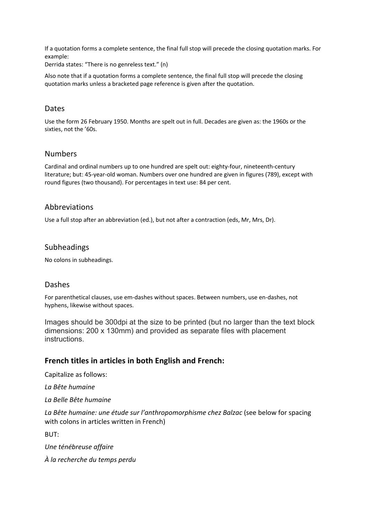If a quotation forms a complete sentence, the final full stop will precede the closing quotation marks. For example:

Derrida states: "There is no genreless text." (n)

Also note that if a quotation forms a complete sentence, the final full stop will precede the closing quotation marks unless a bracketed page reference is given after the quotation.

### Dates

Use the form 26 February 1950. Months are spelt out in full. Decades are given as: the 1960s or the sixties, not the '60s.

#### Numbers

Cardinal and ordinal numbers up to one hundred are spelt out: eighty-four, nineteenth-century literature; but: 45-year-old woman. Numbers over one hundred are given in figures (789), except with round figures (two thousand). For percentages in text use: 84 per cent.

### Abbreviations

Use a full stop after an abbreviation (ed.), but not after a contraction (eds, Mr, Mrs, Dr).

#### Subheadings

No colons in subheadings.

#### Dashes

For parenthetical clauses, use em-dashes without spaces. Between numbers, use en-dashes, not hyphens, likewise without spaces.

Images should be 300dpi at the size to be printed (but no larger than the text block dimensions: 200 x 130mm) and provided as separate files with placement instructions.

### **French titles in articles in both English and French:**

Capitalize as follows:

*La Bête humaine*

*La Belle Bête humaine*

*La Bête humaine: une étude sur l'anthropomorphisme chez Balzac* (see below for spacing with colons in articles written in French)

BUT:

*Une ténébreuse affaire*

*À la recherche du temps perdu*